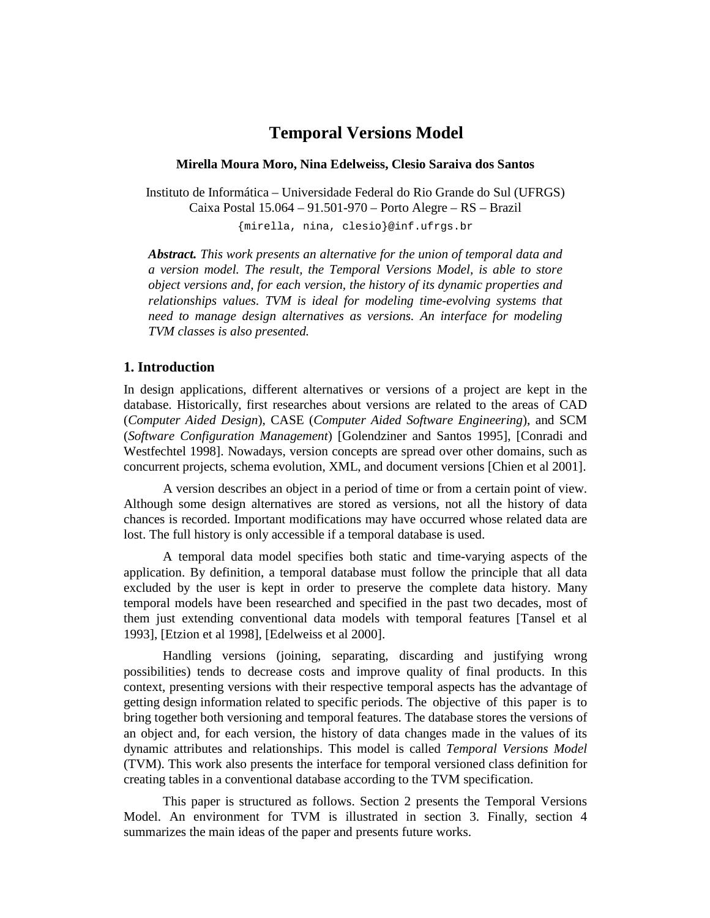# **Temporal Versions Model**

#### **Mirella Moura Moro, Nina Edelweiss, Clesio Saraiva dos Santos**

Instituto de Informática – Universidade Federal do Rio Grande do Sul (UFRGS) Caixa Postal 15.064 – 91.501-970 – Porto Alegre – RS – Brazil {mirella, nina, clesio}@inf.ufrgs.br

*Abstract. This work presents an alternative for the union of temporal data and a version model. The result, the Temporal Versions Model, is able to store object versions and, for each version, the history of its dynamic properties and relationships values. TVM is ideal for modeling time-evolving systems that need to manage design alternatives as versions. An interface for modeling TVM classes is also presented.* 

## **1. Introduction**

In design applications, different alternatives or versions of a project are kept in the database. Historically, first researches about versions are related to the areas of CAD (*Computer Aided Design*), CASE (*Computer Aided Software Engineering*), and SCM (*Software Configuration Management*) [Golendziner and Santos 1995], [Conradi and Westfechtel 1998]. Nowadays, version concepts are spread over other domains, such as concurrent projects, schema evolution, XML, and document versions [Chien et al 2001].

 A version describes an object in a period of time or from a certain point of view. Although some design alternatives are stored as versions, not all the history of data chances is recorded. Important modifications may have occurred whose related data are lost. The full history is only accessible if a temporal database is used.

 A temporal data model specifies both static and time-varying aspects of the application. By definition, a temporal database must follow the principle that all data excluded by the user is kept in order to preserve the complete data history. Many temporal models have been researched and specified in the past two decades, most of them just extending conventional data models with temporal features [Tansel et al 1993], [Etzion et al 1998], [Edelweiss et al 2000].

 Handling versions (joining, separating, discarding and justifying wrong possibilities) tends to decrease costs and improve quality of final products. In this context, presenting versions with their respective temporal aspects has the advantage of getting design information related to specific periods. The objective of this paper is to bring together both versioning and temporal features. The database stores the versions of an object and, for each version, the history of data changes made in the values of its dynamic attributes and relationships. This model is called *Temporal Versions Model* (TVM). This work also presents the interface for temporal versioned class definition for creating tables in a conventional database according to the TVM specification.

 This paper is structured as follows. Section 2 presents the Temporal Versions Model. An environment for TVM is illustrated in section 3. Finally, section 4 summarizes the main ideas of the paper and presents future works.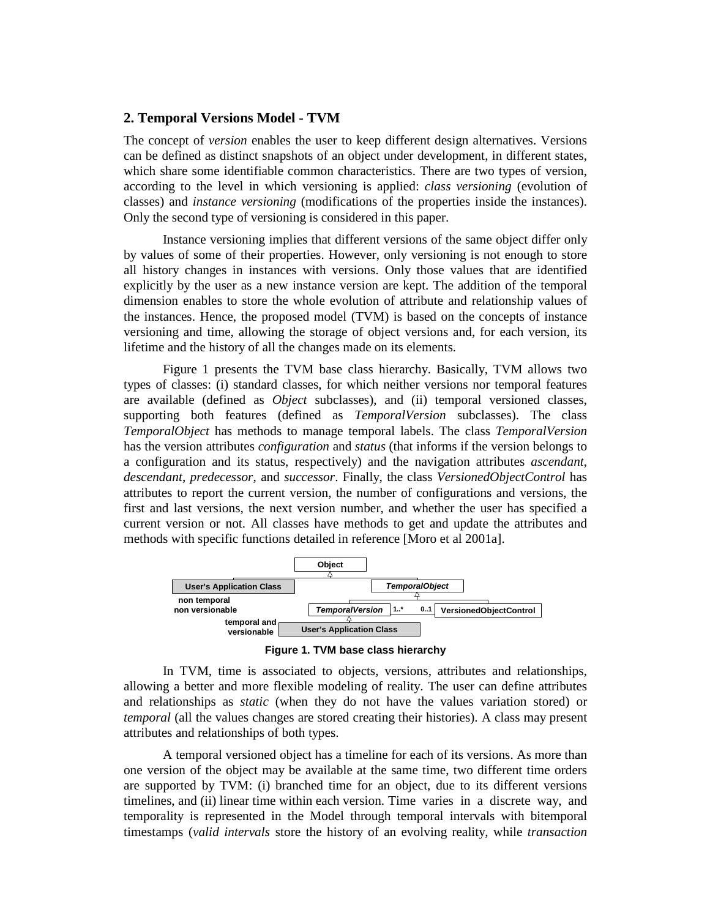## **2. Temporal Versions Model - TVM**

The concept of *version* enables the user to keep different design alternatives. Versions can be defined as distinct snapshots of an object under development, in different states, which share some identifiable common characteristics. There are two types of version, according to the level in which versioning is applied: *class versioning* (evolution of classes) and *instance versioning* (modifications of the properties inside the instances). Only the second type of versioning is considered in this paper.

 Instance versioning implies that different versions of the same object differ only by values of some of their properties. However, only versioning is not enough to store all history changes in instances with versions. Only those values that are identified explicitly by the user as a new instance version are kept. The addition of the temporal dimension enables to store the whole evolution of attribute and relationship values of the instances. Hence, the proposed model (TVM) is based on the concepts of instance versioning and time, allowing the storage of object versions and, for each version, its lifetime and the history of all the changes made on its elements.

 Figure 1 presents the TVM base class hierarchy. Basically, TVM allows two types of classes: (i) standard classes, for which neither versions nor temporal features are available (defined as *Object* subclasses), and (ii) temporal versioned classes, supporting both features (defined as *TemporalVersion* subclasses). The class *TemporalObject* has methods to manage temporal labels. The class *TemporalVersion* has the version attributes *configuration* and *status* (that informs if the version belongs to a configuration and its status, respectively) and the navigation attributes *ascendant*, *descendant*, *predecessor*, and *successor*. Finally, the class *VersionedObjectControl* has attributes to report the current version, the number of configurations and versions, the first and last versions, the next version number, and whether the user has specified a current version or not. All classes have methods to get and update the attributes and methods with specific functions detailed in reference [Moro et al 2001a].



**Figure 1. TVM base class hierarchy** 

 In TVM, time is associated to objects, versions, attributes and relationships, allowing a better and more flexible modeling of reality. The user can define attributes and relationships as *static* (when they do not have the values variation stored) or *temporal* (all the values changes are stored creating their histories). A class may present attributes and relationships of both types.

 A temporal versioned object has a timeline for each of its versions. As more than one version of the object may be available at the same time, two different time orders are supported by TVM: (i) branched time for an object, due to its different versions timelines, and (ii) linear time within each version. Time varies in a discrete way, and temporality is represented in the Model through temporal intervals with bitemporal timestamps (*valid intervals* store the history of an evolving reality, while *transaction*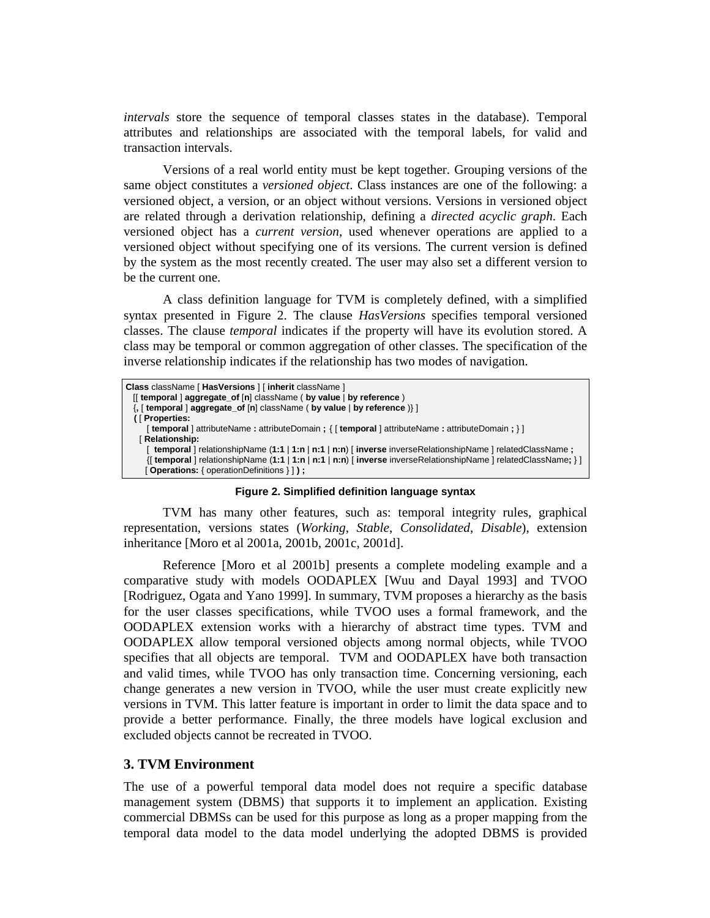*intervals* store the sequence of temporal classes states in the database). Temporal attributes and relationships are associated with the temporal labels, for valid and transaction intervals.

 Versions of a real world entity must be kept together. Grouping versions of the same object constitutes a *versioned object*. Class instances are one of the following: a versioned object, a version, or an object without versions. Versions in versioned object are related through a derivation relationship, defining a *directed acyclic graph*. Each versioned object has a *current version*, used whenever operations are applied to a versioned object without specifying one of its versions. The current version is defined by the system as the most recently created. The user may also set a different version to be the current one.

A class definition language for TVM is completely defined, with a simplified syntax presented in Figure 2. The clause *HasVersions* specifies temporal versioned classes. The clause *temporal* indicates if the property will have its evolution stored. A class may be temporal or common aggregation of other classes. The specification of the inverse relationship indicates if the relationship has two modes of navigation.



**Figure 2. Simplified definition language syntax** 

 TVM has many other features, such as: temporal integrity rules, graphical representation, versions states (*Working*, *Stable*, *Consolidated*, *Disable*), extension inheritance [Moro et al 2001a, 2001b, 2001c, 2001d].

 Reference [Moro et al 2001b] presents a complete modeling example and a comparative study with models OODAPLEX [Wuu and Dayal 1993] and TVOO [Rodriguez, Ogata and Yano 1999]. In summary, TVM proposes a hierarchy as the basis for the user classes specifications, while TVOO uses a formal framework, and the OODAPLEX extension works with a hierarchy of abstract time types. TVM and OODAPLEX allow temporal versioned objects among normal objects, while TVOO specifies that all objects are temporal. TVM and OODAPLEX have both transaction and valid times, while TVOO has only transaction time. Concerning versioning, each change generates a new version in TVOO, while the user must create explicitly new versions in TVM. This latter feature is important in order to limit the data space and to provide a better performance. Finally, the three models have logical exclusion and excluded objects cannot be recreated in TVOO.

# **3. TVM Environment**

The use of a powerful temporal data model does not require a specific database management system (DBMS) that supports it to implement an application. Existing commercial DBMSs can be used for this purpose as long as a proper mapping from the temporal data model to the data model underlying the adopted DBMS is provided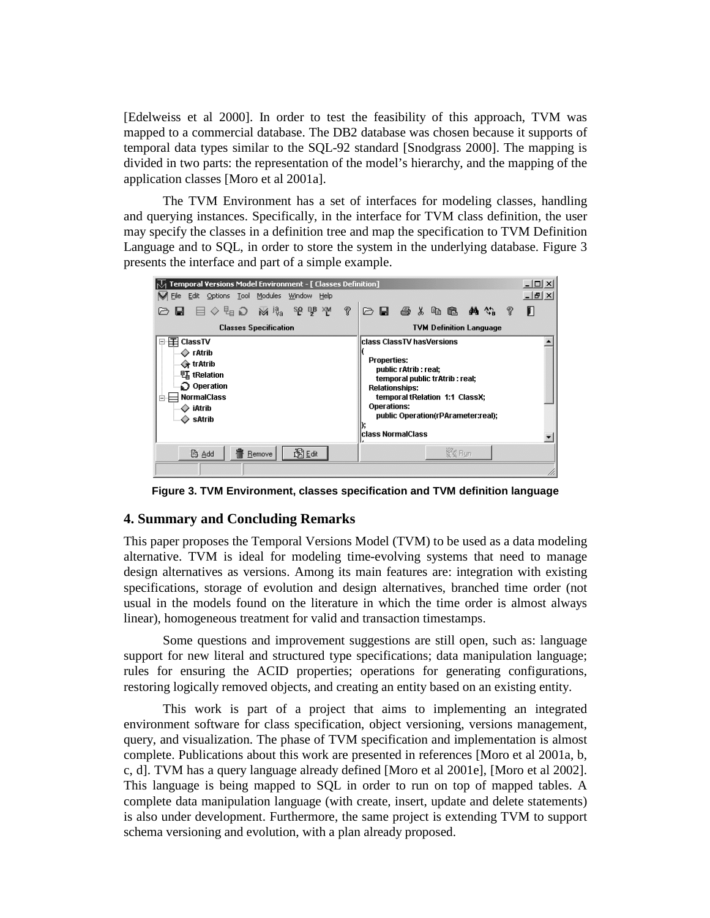[Edelweiss et al 2000]. In order to test the feasibility of this approach, TVM was mapped to a commercial database. The DB2 database was chosen because it supports of temporal data types similar to the SQL-92 standard [Snodgrass 2000]. The mapping is divided in two parts: the representation of the model's hierarchy, and the mapping of the application classes [Moro et al 2001a].

 The TVM Environment has a set of interfaces for modeling classes, handling and querying instances. Specifically, in the interface for TVM class definition, the user may specify the classes in a definition tree and map the specification to TVM Definition Language and to SQL, in order to store the system in the underlying database. Figure 3 presents the interface and part of a simple example.



**Figure 3. TVM Environment, classes specification and TVM definition language** 

## **4. Summary and Concluding Remarks**

This paper proposes the Temporal Versions Model (TVM) to be used as a data modeling alternative. TVM is ideal for modeling time-evolving systems that need to manage design alternatives as versions. Among its main features are: integration with existing specifications, storage of evolution and design alternatives, branched time order (not usual in the models found on the literature in which the time order is almost always linear), homogeneous treatment for valid and transaction timestamps.

 Some questions and improvement suggestions are still open, such as: language support for new literal and structured type specifications; data manipulation language; rules for ensuring the ACID properties; operations for generating configurations, restoring logically removed objects, and creating an entity based on an existing entity.

 This work is part of a project that aims to implementing an integrated environment software for class specification, object versioning, versions management, query, and visualization. The phase of TVM specification and implementation is almost complete. Publications about this work are presented in references [Moro et al 2001a, b, c, d]. TVM has a query language already defined [Moro et al 2001e], [Moro et al 2002]. This language is being mapped to SQL in order to run on top of mapped tables. A complete data manipulation language (with create, insert, update and delete statements) is also under development. Furthermore, the same project is extending TVM to support schema versioning and evolution, with a plan already proposed.